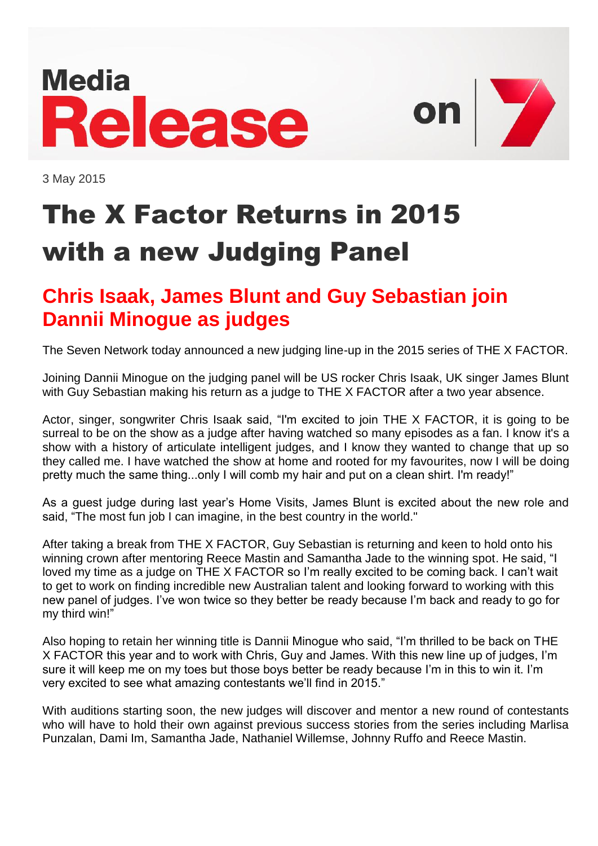## **Media** Release



3 May 2015

## The X Factor Returns in 2015 with a new Judging Panel

## **Chris Isaak, James Blunt and Guy Sebastian join Dannii Minogue as judges**

The Seven Network today announced a new judging line-up in the 2015 series of THE X FACTOR.

Joining Dannii Minogue on the judging panel will be US rocker Chris Isaak, UK singer James Blunt with Guy Sebastian making his return as a judge to THE X FACTOR after a two year absence.

Actor, singer, songwriter Chris Isaak said, "I'm excited to join THE X FACTOR, it is going to be surreal to be on the show as a judge after having watched so many episodes as a fan. I know it's a show with a history of articulate intelligent judges, and I know they wanted to change that up so they called me. I have watched the show at home and rooted for my favourites, now I will be doing pretty much the same thing...only I will comb my hair and put on a clean shirt. I'm ready!"

As a guest judge during last year's Home Visits, James Blunt is excited about the new role and said, "The most fun job I can imagine, in the best country in the world."

After taking a break from THE X FACTOR, Guy Sebastian is returning and keen to hold onto his winning crown after mentoring Reece Mastin and Samantha Jade to the winning spot. He said, "I loved my time as a judge on THE X FACTOR so I'm really excited to be coming back. I can't wait to get to work on finding incredible new Australian talent and looking forward to working with this new panel of judges. I've won twice so they better be ready because I'm back and ready to go for my third win!"

Also hoping to retain her winning title is Dannii Minogue who said, "I'm thrilled to be back on THE X FACTOR this year and to work with Chris, Guy and James. With this new line up of judges, I'm sure it will keep me on my toes but those boys better be ready because I'm in this to win it. I'm very excited to see what amazing contestants we'll find in 2015."

With auditions starting soon, the new judges will discover and mentor a new round of contestants who will have to hold their own against previous success stories from the series including Marlisa Punzalan, Dami Im, Samantha Jade, Nathaniel Willemse, Johnny Ruffo and Reece Mastin.